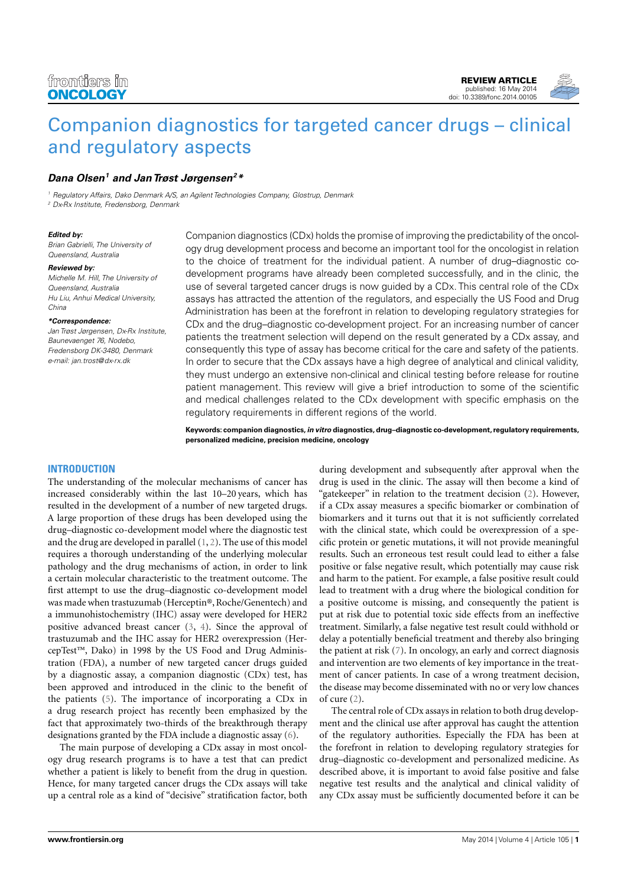# [Companion diagnostics for targeted cancer drugs – clinical](http://www.frontiersin.org/Journal/10.3389/fonc.2014.00105/abstract) [and regulatory aspects](http://www.frontiersin.org/Journal/10.3389/fonc.2014.00105/abstract)

# **[Dana Olsen](http://www.frontiersin.org/people/u/157879)<sup>1</sup> and [Jan Trøst Jørgensen](http://www.frontiersin.org/people/u/71493)<sup>2</sup>\***

<sup>1</sup> Regulatory Affairs, Dako Denmark A/S, an Agilent Technologies Company, Glostrup, Denmark

<sup>2</sup> Dx-Rx Institute, Fredensborg, Denmark

## **Edited by:**

Brian Gabrielli, The University of Queensland, Australia

#### **Reviewed by:**

Michelle M. Hill, The University of Queensland, Australia Hu Liu, Anhui Medical University, China

#### **\*Correspondence:**

Jan Trøst Jørgensen, Dx-Rx Institute, Baunevaenget 76, Nodebo, Fredensborg DK-3480, Denmark e-mail: [jan.trost@dx-rx.dk](mailto:jan.trost@dx-rx.dk)

Companion diagnostics (CDx) holds the promise of improving the predictability of the oncology drug development process and become an important tool for the oncologist in relation to the choice of treatment for the individual patient. A number of drug–diagnostic codevelopment programs have already been completed successfully, and in the clinic, the use of several targeted cancer drugs is now guided by a CDx. This central role of the CDx assays has attracted the attention of the regulators, and especially the US Food and Drug Administration has been at the forefront in relation to developing regulatory strategies for CDx and the drug–diagnostic co-development project. For an increasing number of cancer patients the treatment selection will depend on the result generated by a CDx assay, and consequently this type of assay has become critical for the care and safety of the patients. In order to secure that the CDx assays have a high degree of analytical and clinical validity, they must undergo an extensive non-clinical and clinical testing before release for routine patient management. This review will give a brief introduction to some of the scientific and medical challenges related to the CDx development with specific emphasis on the regulatory requirements in different regions of the world.

**Keywords: companion diagnostics, in vitro diagnostics, drug–diagnostic co-development, regulatory requirements, personalized medicine, precision medicine, oncology**

# **INTRODUCTION**

The understanding of the molecular mechanisms of cancer has increased considerably within the last 10–20 years, which has resulted in the development of a number of new targeted drugs. A large proportion of these drugs has been developed using the drug–diagnostic co-development model where the diagnostic test and the drug are developed in parallel [\(1,](#page-6-0) [2\)](#page-6-1). The use of this model requires a thorough understanding of the underlying molecular pathology and the drug mechanisms of action, in order to link a certain molecular characteristic to the treatment outcome. The first attempt to use the drug–diagnostic co-development model was made when trastuzumab (Herceptin®, Roche/Genentech) and a immunohistochemistry (IHC) assay were developed for HER2 positive advanced breast cancer [\(3,](#page-6-2) [4\)](#page-6-3). Since the approval of trastuzumab and the IHC assay for HER2 overexpression (HercepTest™, Dako) in 1998 by the US Food and Drug Administration (FDA), a number of new targeted cancer drugs guided by a diagnostic assay, a companion diagnostic (CDx) test, has been approved and introduced in the clinic to the benefit of the patients [\(5\)](#page-6-4). The importance of incorporating a CDx in a drug research project has recently been emphasized by the fact that approximately two-thirds of the breakthrough therapy designations granted by the FDA include a diagnostic assay [\(6\)](#page-6-5).

The main purpose of developing a CDx assay in most oncology drug research programs is to have a test that can predict whether a patient is likely to benefit from the drug in question. Hence, for many targeted cancer drugs the CDx assays will take up a central role as a kind of "decisive" stratification factor, both

during development and subsequently after approval when the drug is used in the clinic. The assay will then become a kind of "gatekeeper" in relation to the treatment decision [\(2\)](#page-6-1). However, if a CDx assay measures a specific biomarker or combination of biomarkers and it turns out that it is not sufficiently correlated with the clinical state, which could be overexpression of a specific protein or genetic mutations, it will not provide meaningful results. Such an erroneous test result could lead to either a false positive or false negative result, which potentially may cause risk and harm to the patient. For example, a false positive result could lead to treatment with a drug where the biological condition for a positive outcome is missing, and consequently the patient is put at risk due to potential toxic side effects from an ineffective treatment. Similarly, a false negative test result could withhold or delay a potentially beneficial treatment and thereby also bringing the patient at risk [\(7\)](#page-6-6). In oncology, an early and correct diagnosis and intervention are two elements of key importance in the treatment of cancer patients. In case of a wrong treatment decision, the disease may become disseminated with no or very low chances of cure [\(2\)](#page-6-1).

The central role of CDx assays in relation to both drug development and the clinical use after approval has caught the attention of the regulatory authorities. Especially the FDA has been at the forefront in relation to developing regulatory strategies for drug–diagnostic co-development and personalized medicine. As described above, it is important to avoid false positive and false negative test results and the analytical and clinical validity of any CDx assay must be sufficiently documented before it can be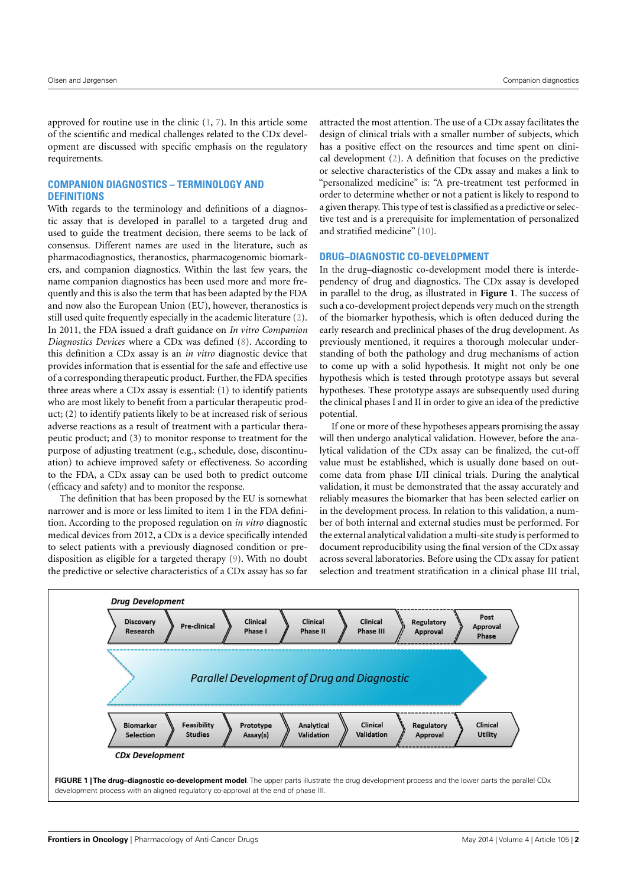approved for routine use in the clinic  $(1, 7)$  $(1, 7)$  $(1, 7)$ . In this article some of the scientific and medical challenges related to the CDx development are discussed with specific emphasis on the regulatory requirements.

# **COMPANION DIAGNOSTICS – TERMINOLOGY AND DEFINITIONS**

With regards to the terminology and definitions of a diagnostic assay that is developed in parallel to a targeted drug and used to guide the treatment decision, there seems to be lack of consensus. Different names are used in the literature, such as pharmacodiagnostics, theranostics, pharmacogenomic biomarkers, and companion diagnostics. Within the last few years, the name companion diagnostics has been used more and more frequently and this is also the term that has been adapted by the FDA and now also the European Union (EU), however, theranostics is still used quite frequently especially in the academic literature [\(2\)](#page-6-1). In 2011, the FDA issued a draft guidance on *In vitro Companion Diagnostics Devices* where a CDx was defined [\(8\)](#page-6-7). According to this definition a CDx assay is an *in vitro* diagnostic device that provides information that is essential for the safe and effective use of a corresponding therapeutic product. Further, the FDA specifies three areas where a CDx assay is essential: (1) to identify patients who are most likely to benefit from a particular therapeutic product; (2) to identify patients likely to be at increased risk of serious adverse reactions as a result of treatment with a particular therapeutic product; and (3) to monitor response to treatment for the purpose of adjusting treatment (e.g., schedule, dose, discontinuation) to achieve improved safety or effectiveness. So according to the FDA, a CDx assay can be used both to predict outcome (efficacy and safety) and to monitor the response.

The definition that has been proposed by the EU is somewhat narrower and is more or less limited to item 1 in the FDA definition. According to the proposed regulation on *in vitro* diagnostic medical devices from 2012, a CDx is a device specifically intended to select patients with a previously diagnosed condition or predisposition as eligible for a targeted therapy [\(9\)](#page-6-8). With no doubt the predictive or selective characteristics of a CDx assay has so far attracted the most attention. The use of a CDx assay facilitates the design of clinical trials with a smaller number of subjects, which has a positive effect on the resources and time spent on clinical development [\(2\)](#page-6-1). A definition that focuses on the predictive or selective characteristics of the CDx assay and makes a link to "personalized medicine" is: "A pre-treatment test performed in order to determine whether or not a patient is likely to respond to a given therapy. This type of test is classified as a predictive or selective test and is a prerequisite for implementation of personalized and stratified medicine" [\(10\)](#page-6-9).

## **DRUG–DIAGNOSTIC CO-DEVELOPMENT**

In the drug–diagnostic co-development model there is interdependency of drug and diagnostics. The CDx assay is developed in parallel to the drug, as illustrated in **[Figure 1](#page-1-0)**. The success of such a co-development project depends very much on the strength of the biomarker hypothesis, which is often deduced during the early research and preclinical phases of the drug development. As previously mentioned, it requires a thorough molecular understanding of both the pathology and drug mechanisms of action to come up with a solid hypothesis. It might not only be one hypothesis which is tested through prototype assays but several hypotheses. These prototype assays are subsequently used during the clinical phases I and II in order to give an idea of the predictive potential.

If one or more of these hypotheses appears promising the assay will then undergo analytical validation. However, before the analytical validation of the CDx assay can be finalized, the cut-off value must be established, which is usually done based on outcome data from phase I/II clinical trials. During the analytical validation, it must be demonstrated that the assay accurately and reliably measures the biomarker that has been selected earlier on in the development process. In relation to this validation, a number of both internal and external studies must be performed. For the external analytical validation a multi-site study is performed to document reproducibility using the final version of the CDx assay across several laboratories. Before using the CDx assay for patient selection and treatment stratification in a clinical phase III trial,

<span id="page-1-0"></span>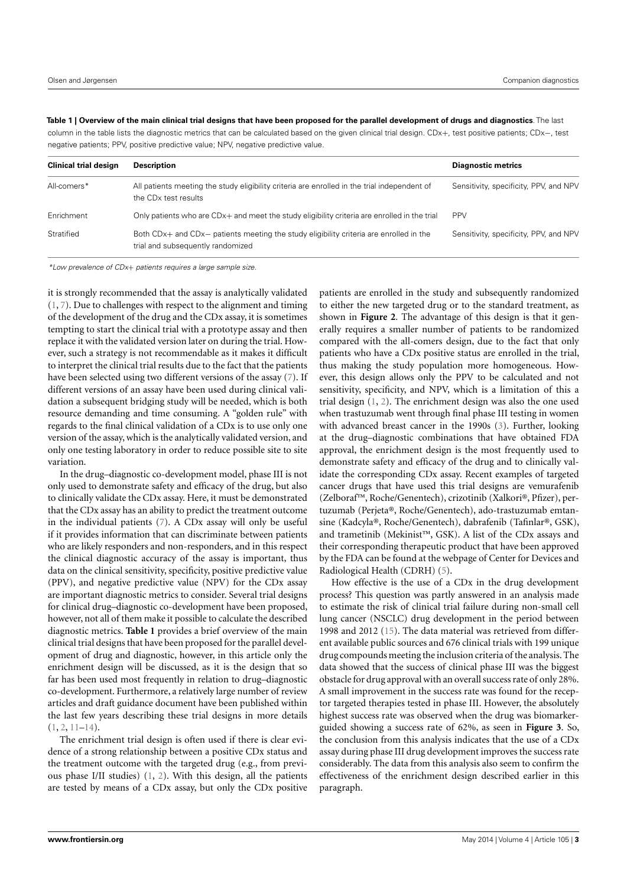| <b>Clinical trial design</b> | <b>Description</b>                                                                                                               | <b>Diagnostic metrics</b>              |
|------------------------------|----------------------------------------------------------------------------------------------------------------------------------|----------------------------------------|
| All-comers*                  | All patients meeting the study eligibility criteria are enrolled in the trial independent of<br>the CD <sub>x</sub> test results | Sensitivity, specificity, PPV, and NPV |
| Enrichment                   | Only patients who are CDx+ and meet the study eligibility criteria are enrolled in the trial                                     | <b>PPV</b>                             |
| Stratified                   | Both CDx+ and CDx- patients meeting the study eligibility criteria are enrolled in the<br>trial and subsequently randomized      | Sensitivity, specificity, PPV, and NPV |

<span id="page-2-0"></span>**Table 1 | Overview of the main clinical trial designs that have been proposed for the parallel development of drugs and diagnostics**. The last

column in the table lists the diagnostic metrics that can be calculated based on the given clinical trial design. CDx+, test positive patients; CDx−, test negative patients; PPV, positive predictive value; NPV, negative predictive value.

\*Low prevalence of CDx+ patients requires a large sample size.

it is strongly recommended that the assay is analytically validated [\(1,](#page-6-0) [7\)](#page-6-6). Due to challenges with respect to the alignment and timing of the development of the drug and the CDx assay, it is sometimes tempting to start the clinical trial with a prototype assay and then replace it with the validated version later on during the trial. However, such a strategy is not recommendable as it makes it difficult to interpret the clinical trial results due to the fact that the patients have been selected using two different versions of the assay [\(7\)](#page-6-6). If different versions of an assay have been used during clinical validation a subsequent bridging study will be needed, which is both resource demanding and time consuming. A "golden rule" with regards to the final clinical validation of a CDx is to use only one version of the assay, which is the analytically validated version, and only one testing laboratory in order to reduce possible site to site variation.

In the drug–diagnostic co-development model, phase III is not only used to demonstrate safety and efficacy of the drug, but also to clinically validate the CDx assay. Here, it must be demonstrated that the CDx assay has an ability to predict the treatment outcome in the individual patients [\(7\)](#page-6-6). A CDx assay will only be useful if it provides information that can discriminate between patients who are likely responders and non-responders, and in this respect the clinical diagnostic accuracy of the assay is important, thus data on the clinical sensitivity, specificity, positive predictive value (PPV), and negative predictive value (NPV) for the CDx assay are important diagnostic metrics to consider. Several trial designs for clinical drug–diagnostic co-development have been proposed, however, not all of them make it possible to calculate the described diagnostic metrics. **[Table 1](#page-2-0)** provides a brief overview of the main clinical trial designs that have been proposed for the parallel development of drug and diagnostic, however, in this article only the enrichment design will be discussed, as it is the design that so far has been used most frequently in relation to drug–diagnostic co-development. Furthermore, a relatively large number of review articles and draft guidance document have been published within the last few years describing these trial designs in more details  $(1, 2, 11-14).$  $(1, 2, 11-14).$  $(1, 2, 11-14).$  $(1, 2, 11-14).$  $(1, 2, 11-14).$  $(1, 2, 11-14).$ 

The enrichment trial design is often used if there is clear evidence of a strong relationship between a positive CDx status and the treatment outcome with the targeted drug (e.g., from previous phase I/II studies) [\(1,](#page-6-0) [2\)](#page-6-1). With this design, all the patients are tested by means of a CDx assay, but only the CDx positive patients are enrolled in the study and subsequently randomized to either the new targeted drug or to the standard treatment, as shown in **[Figure 2](#page-3-0)**. The advantage of this design is that it generally requires a smaller number of patients to be randomized compared with the all-comers design, due to the fact that only patients who have a CDx positive status are enrolled in the trial, thus making the study population more homogeneous. However, this design allows only the PPV to be calculated and not sensitivity, specificity, and NPV, which is a limitation of this a trial design [\(1,](#page-6-0) [2\)](#page-6-1). The enrichment design was also the one used when trastuzumab went through final phase III testing in women with advanced breast cancer in the 1990s [\(3\)](#page-6-2). Further, looking at the drug–diagnostic combinations that have obtained FDA approval, the enrichment design is the most frequently used to demonstrate safety and efficacy of the drug and to clinically validate the corresponding CDx assay. Recent examples of targeted cancer drugs that have used this trial designs are vemurafenib (Zelboraf™, Roche/Genentech), crizotinib (Xalkori®, Pfizer), pertuzumab (Perjeta®, Roche/Genentech), ado-trastuzumab emtansine (Kadcyla®, Roche/Genentech), dabrafenib (Tafinlar®, GSK), and trametinib (Mekinist™, GSK). A list of the CDx assays and their corresponding therapeutic product that have been approved by the FDA can be found at the webpage of Center for Devices and Radiological Health (CDRH) [\(5\)](#page-6-4).

How effective is the use of a CDx in the drug development process? This question was partly answered in an analysis made to estimate the risk of clinical trial failure during non-small cell lung cancer (NSCLC) drug development in the period between 1998 and 2012 [\(15\)](#page-6-12). The data material was retrieved from different available public sources and 676 clinical trials with 199 unique drug compounds meeting the inclusion criteria of the analysis. The data showed that the success of clinical phase III was the biggest obstacle for drug approval with an overall success rate of only 28%. A small improvement in the success rate was found for the receptor targeted therapies tested in phase III. However, the absolutely highest success rate was observed when the drug was biomarkerguided showing a success rate of 62%, as seen in **[Figure 3](#page-3-1)**. So, the conclusion from this analysis indicates that the use of a CDx assay during phase III drug development improves the success rate considerably. The data from this analysis also seem to confirm the effectiveness of the enrichment design described earlier in this paragraph.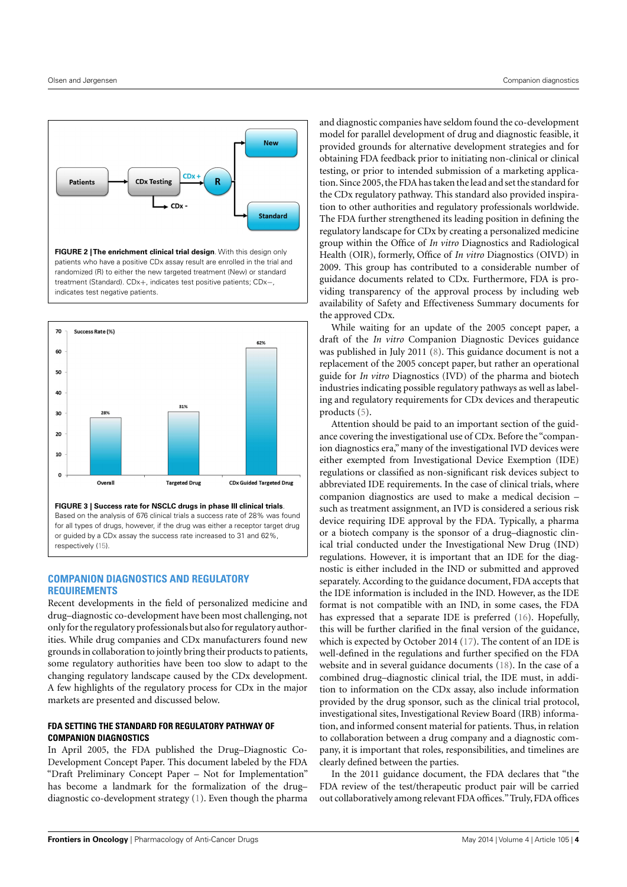

<span id="page-3-0"></span>**FIGURE 2 | The enrichment clinical trial design**. With this design only patients who have a positive CDx assay result are enrolled in the trial and randomized (R) to either the new targeted treatment (New) or standard treatment (Standard). CDx+, indicates test positive patients; CDx−, indicates test negative patients.



# <span id="page-3-1"></span>**COMPANION DIAGNOSTICS AND REGULATORY REQUIREMENTS**

Recent developments in the field of personalized medicine and drug–diagnostic co-development have been most challenging, not only for the regulatory professionals but also for regulatory authorities. While drug companies and CDx manufacturers found new grounds in collaboration to jointly bring their products to patients, some regulatory authorities have been too slow to adapt to the changing regulatory landscape caused by the CDx development. A few highlights of the regulatory process for CDx in the major markets are presented and discussed below.

# **FDA SETTING THE STANDARD FOR REGULATORY PATHWAY OF COMPANION DIAGNOSTICS**

In April 2005, the FDA published the Drug–Diagnostic Co-Development Concept Paper. This document labeled by the FDA "Draft Preliminary Concept Paper – Not for Implementation" has become a landmark for the formalization of the drug– diagnostic co-development strategy [\(1\)](#page-6-0). Even though the pharma

and diagnostic companies have seldom found the co-development model for parallel development of drug and diagnostic feasible, it provided grounds for alternative development strategies and for obtaining FDA feedback prior to initiating non-clinical or clinical testing, or prior to intended submission of a marketing application. Since 2005, the FDA has taken the lead and set the standard for the CDx regulatory pathway. This standard also provided inspiration to other authorities and regulatory professionals worldwide. The FDA further strengthened its leading position in defining the regulatory landscape for CDx by creating a personalized medicine group within the Office of *In vitro* Diagnostics and Radiological Health (OIR), formerly, Office of *In vitro* Diagnostics (OIVD) in 2009. This group has contributed to a considerable number of guidance documents related to CDx. Furthermore, FDA is providing transparency of the approval process by including web availability of Safety and Effectiveness Summary documents for the approved CDx.

While waiting for an update of the 2005 concept paper, a draft of the *In vitro* Companion Diagnostic Devices guidance was published in July 2011 [\(8\)](#page-6-7). This guidance document is not a replacement of the 2005 concept paper, but rather an operational guide for *In vitro* Diagnostics (IVD) of the pharma and biotech industries indicating possible regulatory pathways as well as labeling and regulatory requirements for CDx devices and therapeutic products [\(5\)](#page-6-4).

Attention should be paid to an important section of the guidance covering the investigational use of CDx. Before the "companion diagnostics era," many of the investigational IVD devices were either exempted from Investigational Device Exemption (IDE) regulations or classified as non-significant risk devices subject to abbreviated IDE requirements. In the case of clinical trials, where companion diagnostics are used to make a medical decision – such as treatment assignment, an IVD is considered a serious risk device requiring IDE approval by the FDA. Typically, a pharma or a biotech company is the sponsor of a drug–diagnostic clinical trial conducted under the Investigational New Drug (IND) regulations. However, it is important that an IDE for the diagnostic is either included in the IND or submitted and approved separately. According to the guidance document, FDA accepts that the IDE information is included in the IND. However, as the IDE format is not compatible with an IND, in some cases, the FDA has expressed that a separate IDE is preferred [\(16\)](#page-6-13). Hopefully, this will be further clarified in the final version of the guidance, which is expected by October 2014 [\(17\)](#page-6-14). The content of an IDE is well-defined in the regulations and further specified on the FDA website and in several guidance documents [\(18\)](#page-6-15). In the case of a combined drug–diagnostic clinical trial, the IDE must, in addition to information on the CDx assay, also include information provided by the drug sponsor, such as the clinical trial protocol, investigational sites, Investigational Review Board (IRB) information, and informed consent material for patients. Thus, in relation to collaboration between a drug company and a diagnostic company, it is important that roles, responsibilities, and timelines are clearly defined between the parties.

In the 2011 guidance document, the FDA declares that "the FDA review of the test/therapeutic product pair will be carried out collaboratively among relevant FDA offices."Truly, FDA offices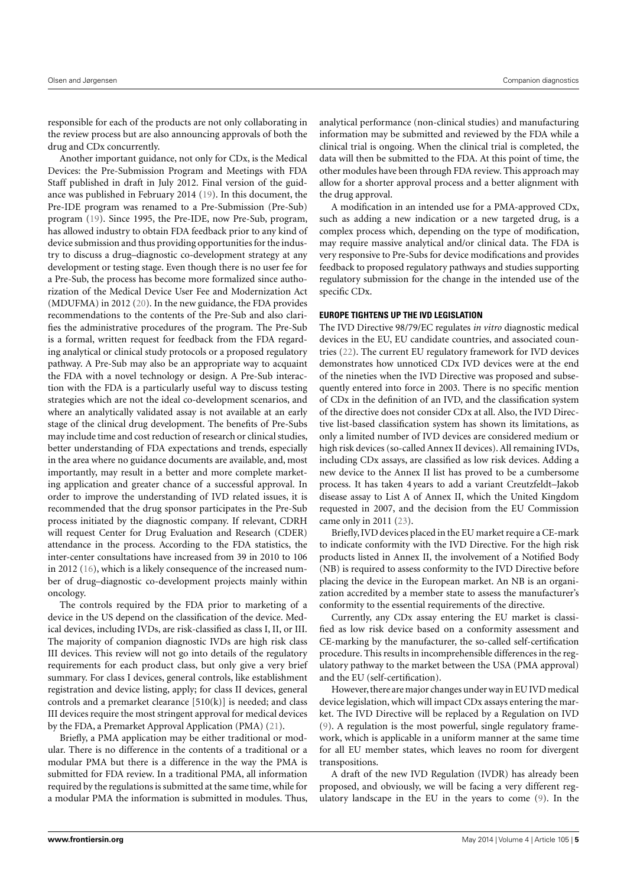responsible for each of the products are not only collaborating in the review process but are also announcing approvals of both the drug and CDx concurrently.

Another important guidance, not only for CDx, is the Medical Devices: the Pre-Submission Program and Meetings with FDA Staff published in draft in July 2012. Final version of the guidance was published in February 2014 [\(19\)](#page-6-16). In this document, the Pre-IDE program was renamed to a Pre-Submission (Pre-Sub) program [\(19\)](#page-6-16). Since 1995, the Pre-IDE, now Pre-Sub, program, has allowed industry to obtain FDA feedback prior to any kind of device submission and thus providing opportunities for the industry to discuss a drug–diagnostic co-development strategy at any development or testing stage. Even though there is no user fee for a Pre-Sub, the process has become more formalized since authorization of the Medical Device User Fee and Modernization Act (MDUFMA) in 2012 [\(20\)](#page-6-17). In the new guidance, the FDA provides recommendations to the contents of the Pre-Sub and also clarifies the administrative procedures of the program. The Pre-Sub is a formal, written request for feedback from the FDA regarding analytical or clinical study protocols or a proposed regulatory pathway. A Pre-Sub may also be an appropriate way to acquaint the FDA with a novel technology or design. A Pre-Sub interaction with the FDA is a particularly useful way to discuss testing strategies which are not the ideal co-development scenarios, and where an analytically validated assay is not available at an early stage of the clinical drug development. The benefits of Pre-Subs may include time and cost reduction of research or clinical studies, better understanding of FDA expectations and trends, especially in the area where no guidance documents are available, and, most importantly, may result in a better and more complete marketing application and greater chance of a successful approval. In order to improve the understanding of IVD related issues, it is recommended that the drug sponsor participates in the Pre-Sub process initiated by the diagnostic company. If relevant, CDRH will request Center for Drug Evaluation and Research (CDER) attendance in the process. According to the FDA statistics, the inter-center consultations have increased from 39 in 2010 to 106 in 2012 [\(16\)](#page-6-13), which is a likely consequence of the increased number of drug–diagnostic co-development projects mainly within oncology.

The controls required by the FDA prior to marketing of a device in the US depend on the classification of the device. Medical devices, including IVDs, are risk-classified as class I, II, or III. The majority of companion diagnostic IVDs are high risk class III devices. This review will not go into details of the regulatory requirements for each product class, but only give a very brief summary. For class I devices, general controls, like establishment registration and device listing, apply; for class II devices, general controls and a premarket clearance  $[510(k)]$  is needed; and class III devices require the most stringent approval for medical devices by the FDA, a Premarket Approval Application (PMA) [\(21\)](#page-6-18).

Briefly, a PMA application may be either traditional or modular. There is no difference in the contents of a traditional or a modular PMA but there is a difference in the way the PMA is submitted for FDA review. In a traditional PMA, all information required by the regulations is submitted at the same time, while for a modular PMA the information is submitted in modules. Thus,

analytical performance (non-clinical studies) and manufacturing information may be submitted and reviewed by the FDA while a clinical trial is ongoing. When the clinical trial is completed, the data will then be submitted to the FDA. At this point of time, the other modules have been through FDA review. This approach may allow for a shorter approval process and a better alignment with the drug approval.

A modification in an intended use for a PMA-approved CDx, such as adding a new indication or a new targeted drug, is a complex process which, depending on the type of modification, may require massive analytical and/or clinical data. The FDA is very responsive to Pre-Subs for device modifications and provides feedback to proposed regulatory pathways and studies supporting regulatory submission for the change in the intended use of the specific CDx.

#### **EUROPE TIGHTENS UP THE IVD LEGISLATION**

The IVD Directive 98/79/EC regulates *in vitro* diagnostic medical devices in the EU, EU candidate countries, and associated countries [\(22\)](#page-6-19). The current EU regulatory framework for IVD devices demonstrates how unnoticed CDx IVD devices were at the end of the nineties when the IVD Directive was proposed and subsequently entered into force in 2003. There is no specific mention of CDx in the definition of an IVD, and the classification system of the directive does not consider CDx at all. Also, the IVD Directive list-based classification system has shown its limitations, as only a limited number of IVD devices are considered medium or high risk devices (so-called Annex II devices). All remaining IVDs, including CDx assays, are classified as low risk devices. Adding a new device to the Annex II list has proved to be a cumbersome process. It has taken 4 years to add a variant Creutzfeldt–Jakob disease assay to List A of Annex II, which the United Kingdom requested in 2007, and the decision from the EU Commission came only in 2011 [\(23\)](#page-6-20).

Briefly, IVD devices placed in the EU market require a CE-mark to indicate conformity with the IVD Directive. For the high risk products listed in Annex II, the involvement of a Notified Body (NB) is required to assess conformity to the IVD Directive before placing the device in the European market. An NB is an organization accredited by a member state to assess the manufacturer's conformity to the essential requirements of the directive.

Currently, any CDx assay entering the EU market is classified as low risk device based on a conformity assessment and CE-marking by the manufacturer, the so-called self-certification procedure. This results in incomprehensible differences in the regulatory pathway to the market between the USA (PMA approval) and the EU (self-certification).

However, there are major changes under way in EU IVD medical device legislation, which will impact CDx assays entering the market. The IVD Directive will be replaced by a Regulation on IVD [\(9\)](#page-6-8). A regulation is the most powerful, single regulatory framework, which is applicable in a uniform manner at the same time for all EU member states, which leaves no room for divergent transpositions.

A draft of the new IVD Regulation (IVDR) has already been proposed, and obviously, we will be facing a very different regulatory landscape in the EU in the years to come [\(9\)](#page-6-8). In the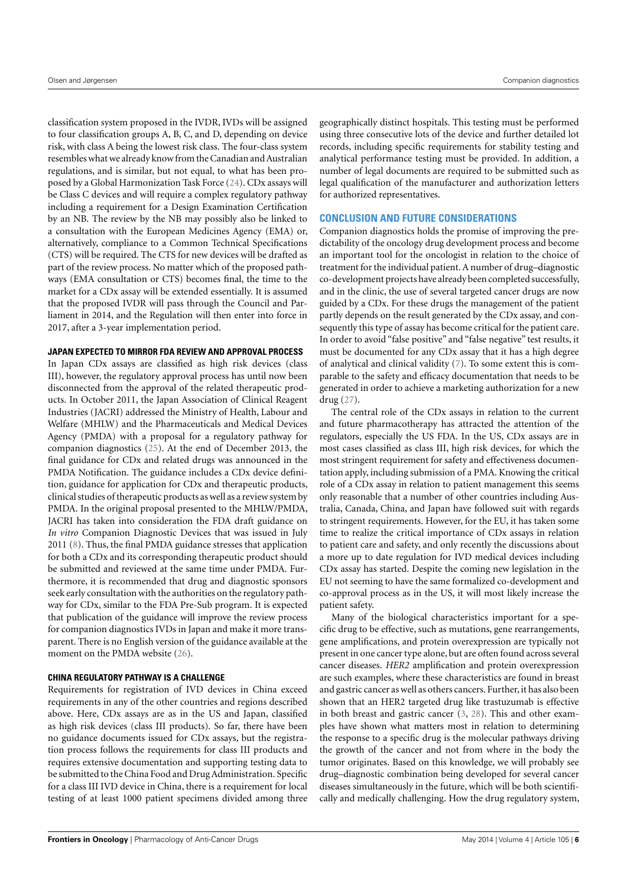classification system proposed in the IVDR, IVDs will be assigned to four classification groups A, B, C, and D, depending on device risk, with class A being the lowest risk class. The four-class system resembles what we already know from the Canadian and Australian regulations, and is similar, but not equal, to what has been proposed by a Global Harmonization Task Force [\(24\)](#page-6-21). CDx assays will be Class C devices and will require a complex regulatory pathway including a requirement for a Design Examination Certification by an NB. The review by the NB may possibly also be linked to a consultation with the European Medicines Agency (EMA) or, alternatively, compliance to a Common Technical Specifications (CTS) will be required. The CTS for new devices will be drafted as part of the review process. No matter which of the proposed pathways (EMA consultation or CTS) becomes final, the time to the market for a CDx assay will be extended essentially. It is assumed that the proposed IVDR will pass through the Council and Parliament in 2014, and the Regulation will then enter into force in 2017, after a 3-year implementation period.

## **JAPAN EXPECTED TO MIRROR FDA REVIEW AND APPROVAL PROCESS**

In Japan CDx assays are classified as high risk devices (class III), however, the regulatory approval process has until now been disconnected from the approval of the related therapeutic products. In October 2011, the Japan Association of Clinical Reagent Industries (JACRI) addressed the Ministry of Health, Labour and Welfare (MHLW) and the Pharmaceuticals and Medical Devices Agency (PMDA) with a proposal for a regulatory pathway for companion diagnostics [\(25\)](#page-6-22). At the end of December 2013, the final guidance for CDx and related drugs was announced in the PMDA Notification. The guidance includes a CDx device definition, guidance for application for CDx and therapeutic products, clinical studies of therapeutic products as well as a review system by PMDA. In the original proposal presented to the MHLW/PMDA, JACRI has taken into consideration the FDA draft guidance on *In vitro* Companion Diagnostic Devices that was issued in July 2011 [\(8\)](#page-6-7). Thus, the final PMDA guidance stresses that application for both a CDx and its corresponding therapeutic product should be submitted and reviewed at the same time under PMDA. Furthermore, it is recommended that drug and diagnostic sponsors seek early consultation with the authorities on the regulatory pathway for CDx, similar to the FDA Pre-Sub program. It is expected that publication of the guidance will improve the review process for companion diagnostics IVDs in Japan and make it more transparent. There is no English version of the guidance available at the moment on the PMDA website [\(26\)](#page-6-23).

## **CHINA REGULATORY PATHWAY IS A CHALLENGE**

Requirements for registration of IVD devices in China exceed requirements in any of the other countries and regions described above. Here, CDx assays are as in the US and Japan, classified as high risk devices (class III products). So far, there have been no guidance documents issued for CDx assays, but the registration process follows the requirements for class III products and requires extensive documentation and supporting testing data to be submitted to the China Food and Drug Administration. Specific for a class III IVD device in China, there is a requirement for local testing of at least 1000 patient specimens divided among three

geographically distinct hospitals. This testing must be performed using three consecutive lots of the device and further detailed lot records, including specific requirements for stability testing and analytical performance testing must be provided. In addition, a number of legal documents are required to be submitted such as legal qualification of the manufacturer and authorization letters for authorized representatives.

# **CONCLUSION AND FUTURE CONSIDERATIONS**

Companion diagnostics holds the promise of improving the predictability of the oncology drug development process and become an important tool for the oncologist in relation to the choice of treatment for the individual patient. A number of drug–diagnostic co-development projects have already been completed successfully, and in the clinic, the use of several targeted cancer drugs are now guided by a CDx. For these drugs the management of the patient partly depends on the result generated by the CDx assay, and consequently this type of assay has become critical for the patient care. In order to avoid "false positive" and "false negative" test results, it must be documented for any CDx assay that it has a high degree of analytical and clinical validity [\(7\)](#page-6-6). To some extent this is comparable to the safety and efficacy documentation that needs to be generated in order to achieve a marketing authorization for a new drug [\(27\)](#page-6-24).

The central role of the CDx assays in relation to the current and future pharmacotherapy has attracted the attention of the regulators, especially the US FDA. In the US, CDx assays are in most cases classified as class III, high risk devices, for which the most stringent requirement for safety and effectiveness documentation apply, including submission of a PMA. Knowing the critical role of a CDx assay in relation to patient management this seems only reasonable that a number of other countries including Australia, Canada, China, and Japan have followed suit with regards to stringent requirements. However, for the EU, it has taken some time to realize the critical importance of CDx assays in relation to patient care and safety, and only recently the discussions about a more up to date regulation for IVD medical devices including CDx assay has started. Despite the coming new legislation in the EU not seeming to have the same formalized co-development and co-approval process as in the US, it will most likely increase the patient safety.

Many of the biological characteristics important for a specific drug to be effective, such as mutations, gene rearrangements, gene amplifications, and protein overexpression are typically not present in one cancer type alone, but are often found across several cancer diseases. *HER2* amplification and protein overexpression are such examples, where these characteristics are found in breast and gastric cancer as well as others cancers. Further, it has also been shown that an HER2 targeted drug like trastuzumab is effective in both breast and gastric cancer [\(3,](#page-6-2) [28\)](#page-6-25). This and other examples have shown what matters most in relation to determining the response to a specific drug is the molecular pathways driving the growth of the cancer and not from where in the body the tumor originates. Based on this knowledge, we will probably see drug–diagnostic combination being developed for several cancer diseases simultaneously in the future, which will be both scientifically and medically challenging. How the drug regulatory system,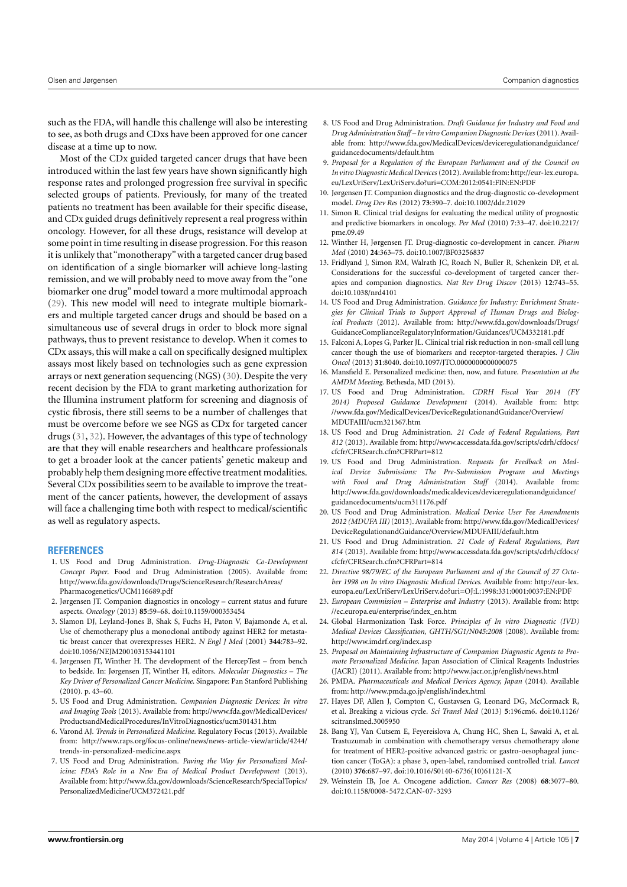such as the FDA, will handle this challenge will also be interesting to see, as both drugs and CDxs have been approved for one cancer disease at a time up to now.

Most of the CDx guided targeted cancer drugs that have been introduced within the last few years have shown significantly high response rates and prolonged progression free survival in specific selected groups of patients. Previously, for many of the treated patients no treatment has been available for their specific disease, and CDx guided drugs definitively represent a real progress within oncology. However, for all these drugs, resistance will develop at some point in time resulting in disease progression. For this reason it is unlikely that"monotherapy"with a targeted cancer drug based on identification of a single biomarker will achieve long-lasting remission, and we will probably need to move away from the "one biomarker one drug" model toward a more multimodal approach [\(29\)](#page-6-26). This new model will need to integrate multiple biomarkers and multiple targeted cancer drugs and should be based on a simultaneous use of several drugs in order to block more signal pathways, thus to prevent resistance to develop. When it comes to CDx assays, this will make a call on specifically designed multiplex assays most likely based on technologies such as gene expression arrays or next generation sequencing (NGS) [\(30\)](#page-7-0). Despite the very recent decision by the FDA to grant marketing authorization for the Illumina instrument platform for screening and diagnosis of cystic fibrosis, there still seems to be a number of challenges that must be overcome before we see NGS as CDx for targeted cancer drugs [\(31,](#page-7-1) [32\)](#page-7-2). However, the advantages of this type of technology are that they will enable researchers and healthcare professionals to get a broader look at the cancer patients' genetic makeup and probably help them designing more effective treatment modalities. Several CDx possibilities seem to be available to improve the treatment of the cancer patients, however, the development of assays will face a challenging time both with respect to medical/scientific as well as regulatory aspects.

#### **REFERENCES**

- <span id="page-6-0"></span>1. US Food and Drug Administration. *Drug-Diagnostic Co-Development Concept Paper*. Food and Drug Administration (2005). Available from: [http://www.fda.gov/downloads/Drugs/ScienceResearch/ResearchAreas/](http://www.fda.gov/downloads/Drugs/ScienceResearch/ResearchAreas/Pharmacogenetics/UCM116689.pdf) [Pharmacogenetics/UCM116689.pdf](http://www.fda.gov/downloads/Drugs/ScienceResearch/ResearchAreas/Pharmacogenetics/UCM116689.pdf)
- <span id="page-6-1"></span>2. Jørgensen JT. Companion diagnostics in oncology – current status and future aspects. *Oncology* (2013) **85**:59–68. doi[:10.1159/000353454](http://dx.doi.org/10.1159/000353454)
- <span id="page-6-2"></span>3. Slamon DJ, Leyland-Jones B, Shak S, Fuchs H, Paton V, Bajamonde A, et al. Use of chemotherapy plus a monoclonal antibody against HER2 for metastatic breast cancer that overexpresses HER2. *N Engl J Med* (2001) **344**:783–92. doi[:10.1056/NEJM200103153441101](http://dx.doi.org/10.1056/NEJM200103153441101)
- <span id="page-6-3"></span>4. Jørgensen JT, Winther H. The development of the HercepTest – from bench to bedside. In: Jørgensen JT, Winther H, editors. *Molecular Diagnostics – The Key Driver of Personalized Cancer Medicine*. Singapore: Pan Stanford Publishing (2010). p. 43–60.
- <span id="page-6-4"></span>5. US Food and Drug Administration. *Companion Diagnostic Devices: In vitro and Imaging Tools* (2013). Available from: [http://www.fda.gov/MedicalDevices/](http://www.fda.gov/MedicalDevices/ProductsandMedicalProcedures/InVitroDiagnostics/ucm301431.htm) [ProductsandMedicalProcedures/InVitroDiagnostics/ucm301431.htm](http://www.fda.gov/MedicalDevices/ProductsandMedicalProcedures/InVitroDiagnostics/ucm301431.htm)
- <span id="page-6-5"></span>6. Varond AJ. *Trends in Personalized Medicine.* Regulatory Focus (2013). Available from: [http://www.raps.org/focus-online/news/news-article-view/article/4244/](http://www.raps.org/focus-online/news/news-article-view/article/4244/trends-in-personalized-medicine.aspx) [trends-in-personalized-medicine.aspx](http://www.raps.org/focus-online/news/news-article-view/article/4244/trends-in-personalized-medicine.aspx)
- <span id="page-6-6"></span>7. US Food and Drug Administration. *Paving the Way for Personalized Medicine: FDA's Role in a New Era of Medical Product Development* (2013). Available from: [http://www.fda.gov/downloads/ScienceResearch/SpecialTopics/](http://www.fda.gov/downloads/ScienceResearch/SpecialTopics/PersonalizedMedicine/UCM372421.pdf) [PersonalizedMedicine/UCM372421.pdf](http://www.fda.gov/downloads/ScienceResearch/SpecialTopics/PersonalizedMedicine/UCM372421.pdf)
- <span id="page-6-7"></span>8. US Food and Drug Administration. *Draft Guidance for Industry and Food and Drug Administration Staff – In vitro Companion Diagnostic Devices* (2011). Available from: [http://www.fda.gov/MedicalDevices/deviceregulationandguidance/](http://www.fda.gov/MedicalDevices/deviceregulationandguidance/guidancedocuments/default.htm) [guidancedocuments/default.htm](http://www.fda.gov/MedicalDevices/deviceregulationandguidance/guidancedocuments/default.htm)
- <span id="page-6-8"></span>9. *Proposal for a Regulation of the European Parliament and of the Council on In vitro Diagnostic Medical Devices* (2012). Available from: [http://eur-lex.europa.](http://eur-lex.europa.eu/LexUriServ/LexUriServ.do?uri=COM:2012:0541:FIN:EN:PDF) [eu/LexUriServ/LexUriServ.do?uri=COM:2012:0541:FIN:EN:PDF](http://eur-lex.europa.eu/LexUriServ/LexUriServ.do?uri=COM:2012:0541:FIN:EN:PDF)
- <span id="page-6-9"></span>10. Jørgensen JT. Companion diagnostics and the drug-diagnostic co-development model. *Drug Dev Res* (2012) **73**:390–7. doi[:10.1002/ddr.21029](http://dx.doi.org/10.1002/ddr.21029)
- <span id="page-6-10"></span>11. Simon R. Clinical trial designs for evaluating the medical utility of prognostic and predictive biomarkers in oncology. *Per Med* (2010) **7**:33–47. doi[:10.2217/](http://dx.doi.org/10.2217/pme.09.49) [pme.09.49](http://dx.doi.org/10.2217/pme.09.49)
- 12. Winther H, Jørgensen JT. Drug-diagnostic co-development in cancer. *Pharm Med* (2010) **24**:363–75. doi[:10.1007/BF03256837](http://dx.doi.org/10.1007/BF03256837)
- 13. Fridlyand J, Simon RM, Walrath JC, Roach N, Buller R, Schenkein DP, et al. Considerations for the successful co-development of targeted cancer therapies and companion diagnostics. *Nat Rev Drug Discov* (2013) **12**:743–55. doi[:10.1038/nrd4101](http://dx.doi.org/10.1038/nrd4101)
- <span id="page-6-11"></span>14. US Food and Drug Administration. *Guidance for Industry: Enrichment Strategies for Clinical Trials to Support Approval of Human Drugs and Biological Products* (2012). Available from: [http://www.fda.gov/downloads/Drugs/](http://www.fda.gov/downloads/Drugs/GuidanceComplianceRegulatoryInformation/Guidances/UCM332181.pdf) [GuidanceComplianceRegulatoryInformation/Guidances/UCM332181.pdf](http://www.fda.gov/downloads/Drugs/GuidanceComplianceRegulatoryInformation/Guidances/UCM332181.pdf)
- <span id="page-6-12"></span>15. Falconi A, Lopes G, Parker JL. Clinical trial risk reduction in non-small cell lung cancer though the use of biomarkers and receptor-targeted therapies. *J Clin Oncol* (2013) **31**:8040. doi[:10.1097/JTO.0000000000000075](http://dx.doi.org/10.1097/JTO.0000000000000075)
- <span id="page-6-13"></span>16. Mansfield E. Personalized medicine: then, now, and future. *Presentation at the AMDM Meeting*. Bethesda, MD (2013).
- <span id="page-6-14"></span>17. US Food and Drug Administration. *CDRH Fiscal Year 2014 (FY 2014) Proposed Guidance Development* (2014). Available from: [http:](http://www.fda.gov/MedicalDevices/DeviceRegulationandGuidance/Overview/MDUFAIII/ucm321367.htm) [//www.fda.gov/MedicalDevices/DeviceRegulationandGuidance/Overview/](http://www.fda.gov/MedicalDevices/DeviceRegulationandGuidance/Overview/MDUFAIII/ucm321367.htm) [MDUFAIII/ucm321367.htm](http://www.fda.gov/MedicalDevices/DeviceRegulationandGuidance/Overview/MDUFAIII/ucm321367.htm)
- <span id="page-6-15"></span>18. US Food and Drug Administration. *21 Code of Federal Regulations, Part 812* (2013). Available from: [http://www.accessdata.fda.gov/scripts/cdrh/cfdocs/](http://www.accessdata.fda.gov/scripts/cdrh/cfdocs/cfcfr/CFRSearch.cfm?CFRPart=812) [cfcfr/CFRSearch.cfm?CFRPart=812](http://www.accessdata.fda.gov/scripts/cdrh/cfdocs/cfcfr/CFRSearch.cfm?CFRPart=812)
- <span id="page-6-16"></span>19. US Food and Drug Administration. *Requests for Feedback on Medical Device Submissions: The Pre-Submission Program and Meetings with Food and Drug Administration Staff* (2014). Available from: [http://www.fda.gov/downloads/medicaldevices/deviceregulationandguidance/](http://www.fda.gov/downloads/medicaldevices/deviceregulationandguidance/guidancedocuments/ucm311176.pdf) [guidancedocuments/ucm311176.pdf](http://www.fda.gov/downloads/medicaldevices/deviceregulationandguidance/guidancedocuments/ucm311176.pdf)
- <span id="page-6-17"></span>20. US Food and Drug Administration. *Medical Device User Fee Amendments 2012 (MDUFA III)* (2013). Available from: [http://www.fda.gov/MedicalDevices/](http://www.fda.gov/MedicalDevices/DeviceRegulationandGuidance/Overview/MDUFAIII/default.htm) [DeviceRegulationandGuidance/Overview/MDUFAIII/default.htm](http://www.fda.gov/MedicalDevices/DeviceRegulationandGuidance/Overview/MDUFAIII/default.htm)
- <span id="page-6-18"></span>21. US Food and Drug Administration. *21 Code of Federal Regulations, Part 814* (2013). Available from: [http://www.accessdata.fda.gov/scripts/cdrh/cfdocs/](http://www.accessdata.fda.gov/scripts/cdrh/cfdocs/cfcfr/CFRSearch.cfm?CFRPart=814) [cfcfr/CFRSearch.cfm?CFRPart=814](http://www.accessdata.fda.gov/scripts/cdrh/cfdocs/cfcfr/CFRSearch.cfm?CFRPart=814)
- <span id="page-6-19"></span>22. *Directive 98/79/EC of the European Parliament and of the Council of 27 October 1998 on In vitro Diagnostic Medical Devices*. Available from: [http://eur-lex.](http://eur-lex.europa.eu/LexUriServ/LexUriServ.do?uri=OJ:L:1998:331:0001:0037:EN:PDF) [europa.eu/LexUriServ/LexUriServ.do?uri=OJ:L:1998:331:0001:0037:EN:PDF](http://eur-lex.europa.eu/LexUriServ/LexUriServ.do?uri=OJ:L:1998:331:0001:0037:EN:PDF)
- <span id="page-6-20"></span>23. *European Commission – Enterprise and Industry* (2013). Available from: [http:](http://ec.europa.eu/enterprise/index_en.htm) [//ec.europa.eu/enterprise/index\\_en.htm](http://ec.europa.eu/enterprise/index_en.htm)
- <span id="page-6-21"></span>24. Global Harmonization Task Force. *Principles of In vitro Diagnostic (IVD) Medical Devices Classification, GHTH/SG1/N045:2008* (2008). Available from: <http://www.imdrf.org/index.asp>
- <span id="page-6-22"></span>25. *Proposal on Maintaining Infrastructure of Companion Diagnostic Agents to Promote Personalized Medicine*. Japan Association of Clinical Reagents Industries (JACRI) (2011). Available from: <http://www.jacr.or.jp/english/news.html>
- <span id="page-6-23"></span>26. PMDA. *Pharmaceuticals and Medical Devices Agency, Japan* (2014). Available from: <http://www.pmda.go.jp/english/index.html>
- <span id="page-6-24"></span>27. Hayes DF, Allen J, Compton C, Gustavsen G, Leonard DG, McCormack R, et al. Breaking a vicious cycle. *Sci Transl Med* (2013) **5**:196cm6. doi[:10.1126/](http://dx.doi.org/10.1126/scitranslmed.3005950) [scitranslmed.3005950](http://dx.doi.org/10.1126/scitranslmed.3005950)
- <span id="page-6-25"></span>28. Bang YJ, Van Cutsem E, Feyereislova A, Chung HC, Shen L, Sawaki A, et al. Trastuzumab in combination with chemotherapy versus chemotherapy alone for treatment of HER2-positive advanced gastric or gastro-oesophageal junction cancer (ToGA): a phase 3, open-label, randomised controlled trial. *Lancet* (2010) **376**:687–97. doi[:10.1016/S0140-6736\(10\)61121-X](http://dx.doi.org/10.1016/S0140-6736(10)61121-X)
- <span id="page-6-26"></span>29. Weinstein IB, Joe A. Oncogene addiction. *Cancer Res* (2008) **68**:3077–80. doi[:10.1158/0008-5472.CAN-07-3293](http://dx.doi.org/10.1158/0008-5472.CAN-07-3293)